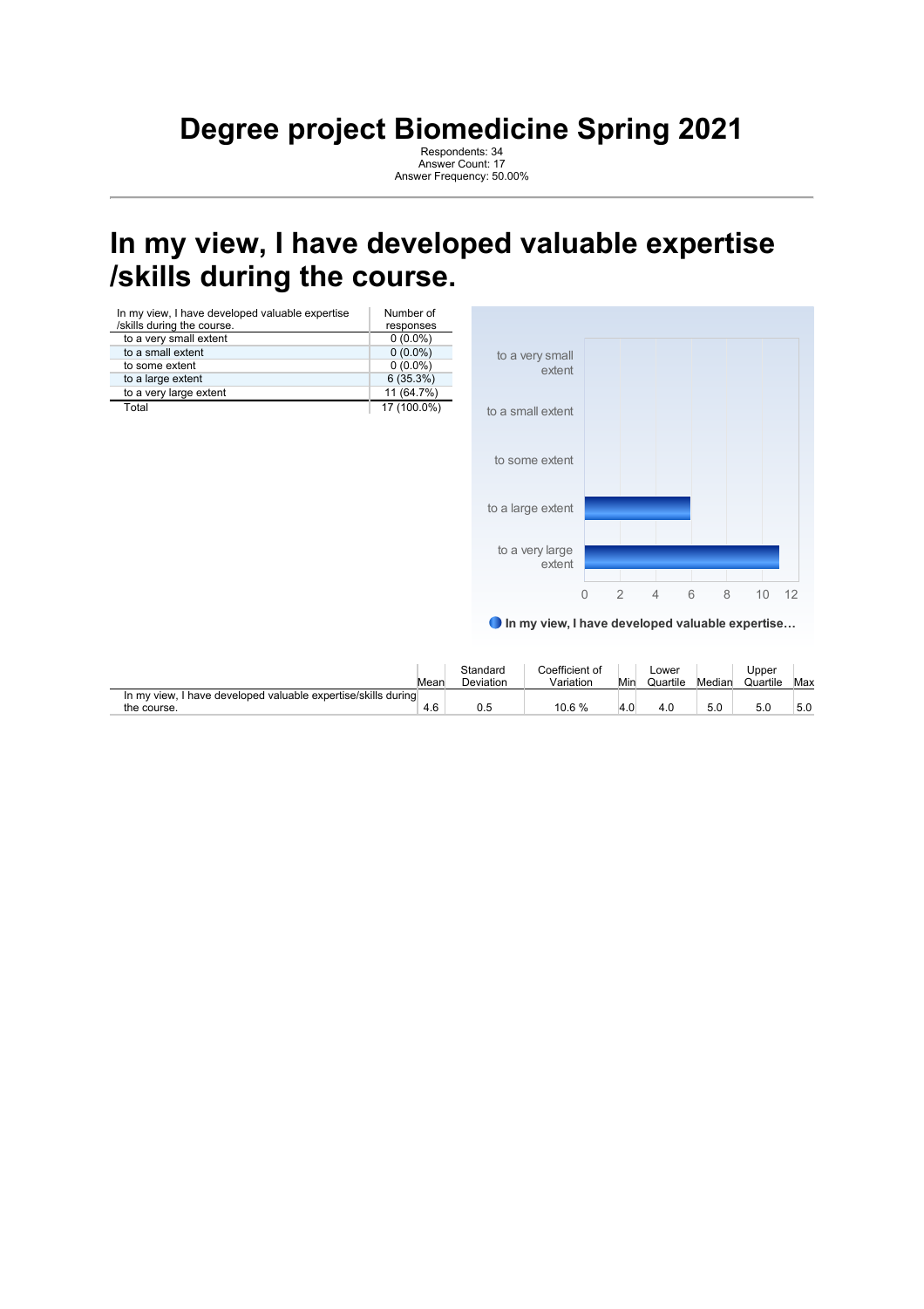#### **Degree project Biomedicine Spring 2021**

Respondents: 34 Answer Count: 17 Answer Frequency: 50.00%

### **In my view, I have developed valuable expertise /skills during the course.**

| In my view, I have developed valuable expertise<br>/skills during the course. | Number of<br>responses |
|-------------------------------------------------------------------------------|------------------------|
| to a very small extent                                                        | $0(0.0\%)$             |
| to a small extent                                                             | $0(0.0\%)$             |
| to some extent                                                                | $0(0.0\%)$             |
| to a large extent                                                             | 6(35.3%)               |
| to a very large extent                                                        | 11 (64.7%)             |
| Total                                                                         | 17 (100.0%)            |



In my view, I have developed valuable expertise…

|                                                                              | Mean | Standard<br>Deviation | Coefficient of<br>Variation | Min | _ower<br>Quartile | Median | Jpper<br>Quartile | Max |
|------------------------------------------------------------------------------|------|-----------------------|-----------------------------|-----|-------------------|--------|-------------------|-----|
| In my view, I have developed valuable expertise/skills during<br>the course. | 4.6  |                       | 10.6 %                      |     | 4.U               | 5.0    | 5.0               | 5.0 |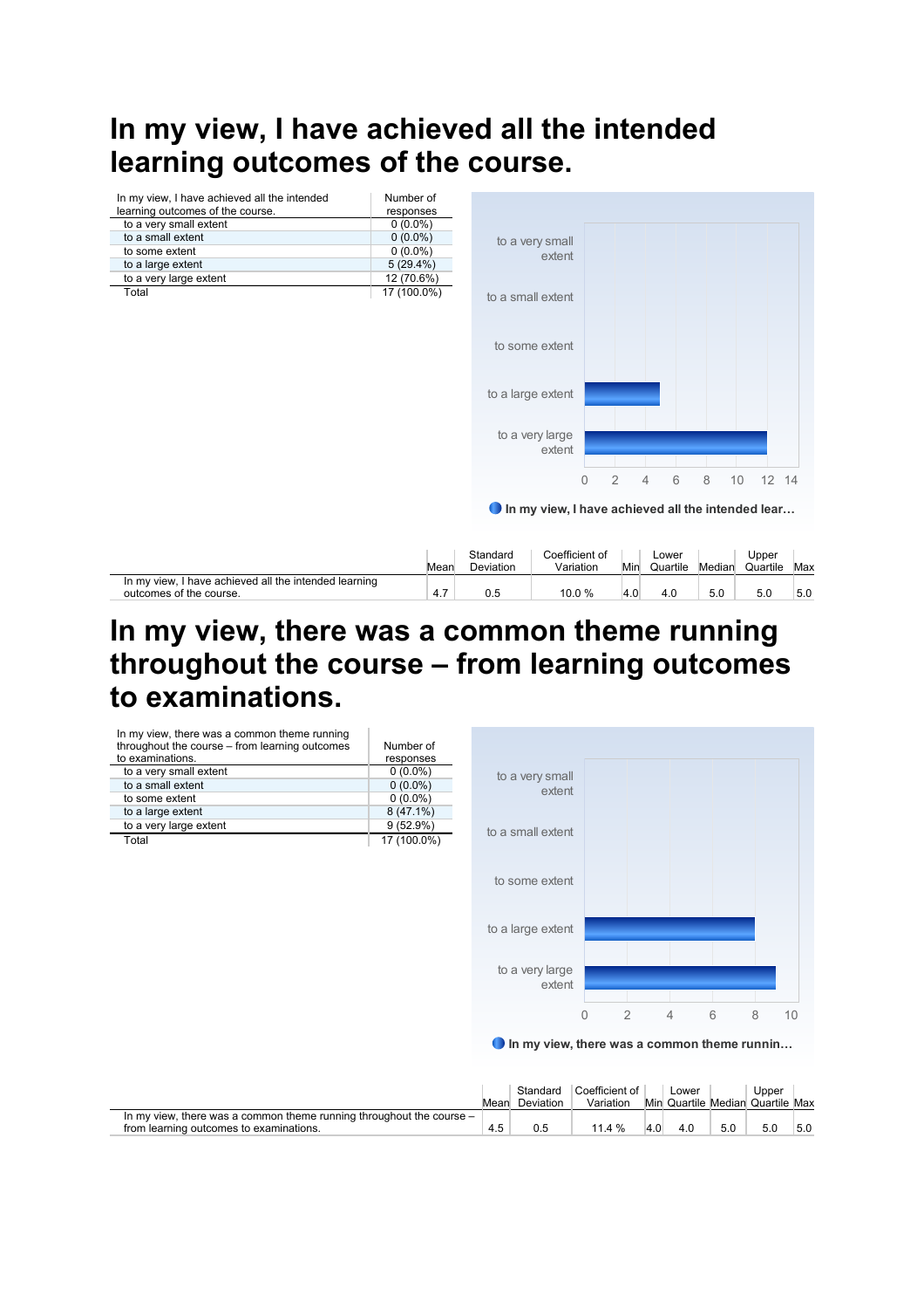# **In my view, I have achieved all the intended learning outcomes of the course.**



#### **In my view, there was a common theme running throughout the course – from learning outcomes to examinations.**



In my view, there was a common theme runnin…

|                                                                                                                 | Mean | Standard<br>Deviation | Coefficient of<br>Variation |     | ∟ower |     | Upper<br>Min Quartile Median Quartile Max |     |
|-----------------------------------------------------------------------------------------------------------------|------|-----------------------|-----------------------------|-----|-------|-----|-------------------------------------------|-----|
| In my view, there was a common theme running throughout the course –<br>from learning outcomes to examinations. |      |                       | 11.4%                       | 4.0 | 4.0   | 5.0 | 5.0                                       | 5.0 |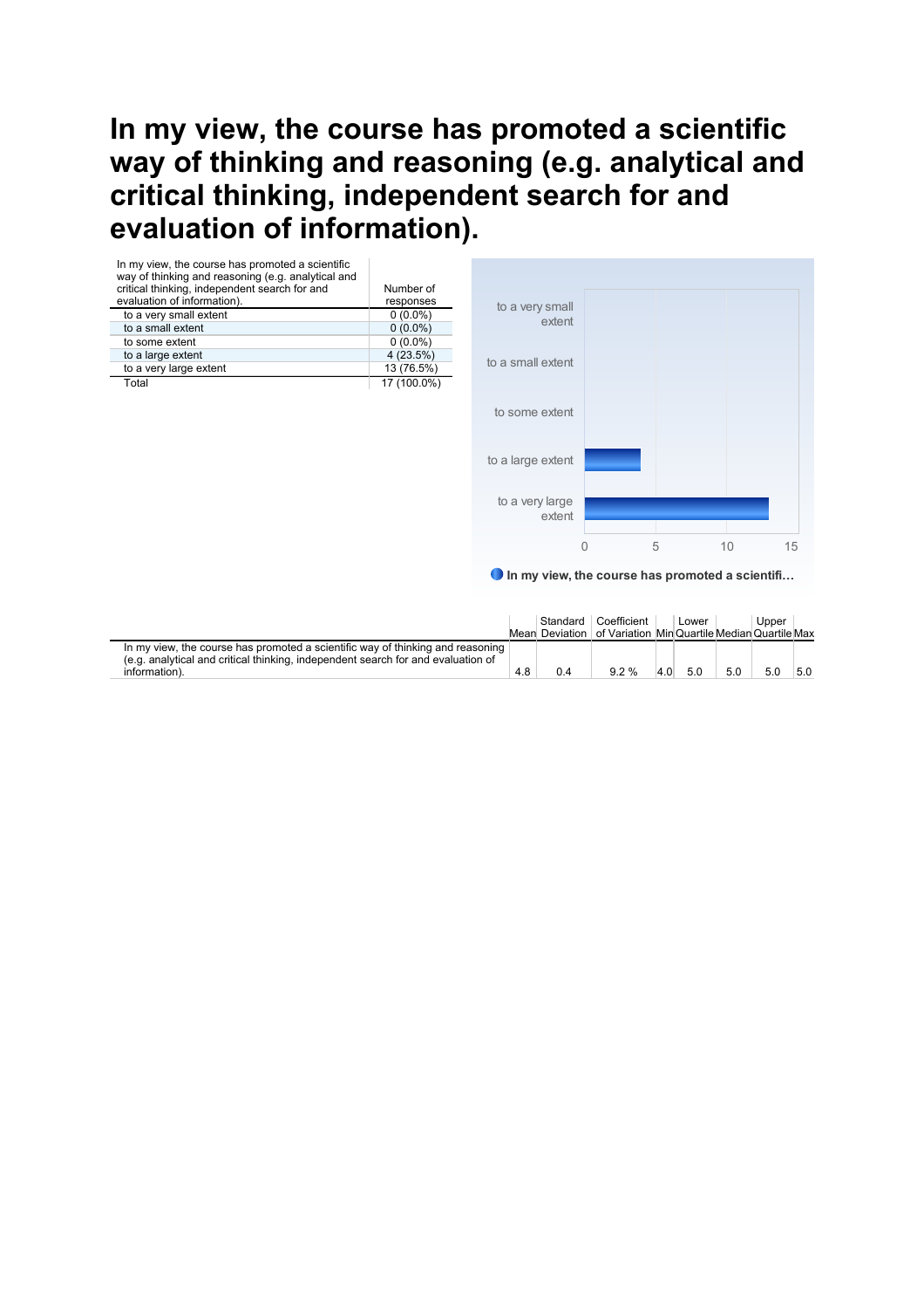#### **In my view, the course has promoted a scientific way of thinking and reasoning (e.g. analytical and critical thinking, independent search for and evaluation of information).**

| In my view, the course has promoted a scientific<br>way of thinking and reasoning (e.g. analytical and<br>critical thinking, independent search for and<br>evaluation of information).<br>to a very small extent<br>to a small extent<br>to some extent<br>to a large extent<br>to a very large extent<br>Total | Number of<br>responses<br>$0(0.0\%)$<br>$0(0.0\%)$<br>$0(0.0\%)$<br>4(23.5%)<br>13 (76.5%)<br>17 (100.0%) | to a very small<br>extent<br>to a small extent |  |
|-----------------------------------------------------------------------------------------------------------------------------------------------------------------------------------------------------------------------------------------------------------------------------------------------------------------|-----------------------------------------------------------------------------------------------------------|------------------------------------------------|--|
|                                                                                                                                                                                                                                                                                                                 |                                                                                                           | to some extent                                 |  |
|                                                                                                                                                                                                                                                                                                                 |                                                                                                           | to a large extent                              |  |

**O** In my view, the course has promoted a scientifi... to a very large extent 0 5 10 15

|                                                                                                                                                                    |     | Standard | Coefficient<br>Mean Deviation   of Variation MinQuartile MedianQuartile Max |     | Lower |     | Upper |     |
|--------------------------------------------------------------------------------------------------------------------------------------------------------------------|-----|----------|-----------------------------------------------------------------------------|-----|-------|-----|-------|-----|
| In my view, the course has promoted a scientific way of thinking and reasoning<br>(e.g. analytical and critical thinking, independent search for and evaluation of |     |          |                                                                             |     |       |     |       |     |
| information).                                                                                                                                                      | 4.8 | 0.4      | 92%                                                                         | 4.0 | 5.0   | 5.0 | 5.0   | 5.0 |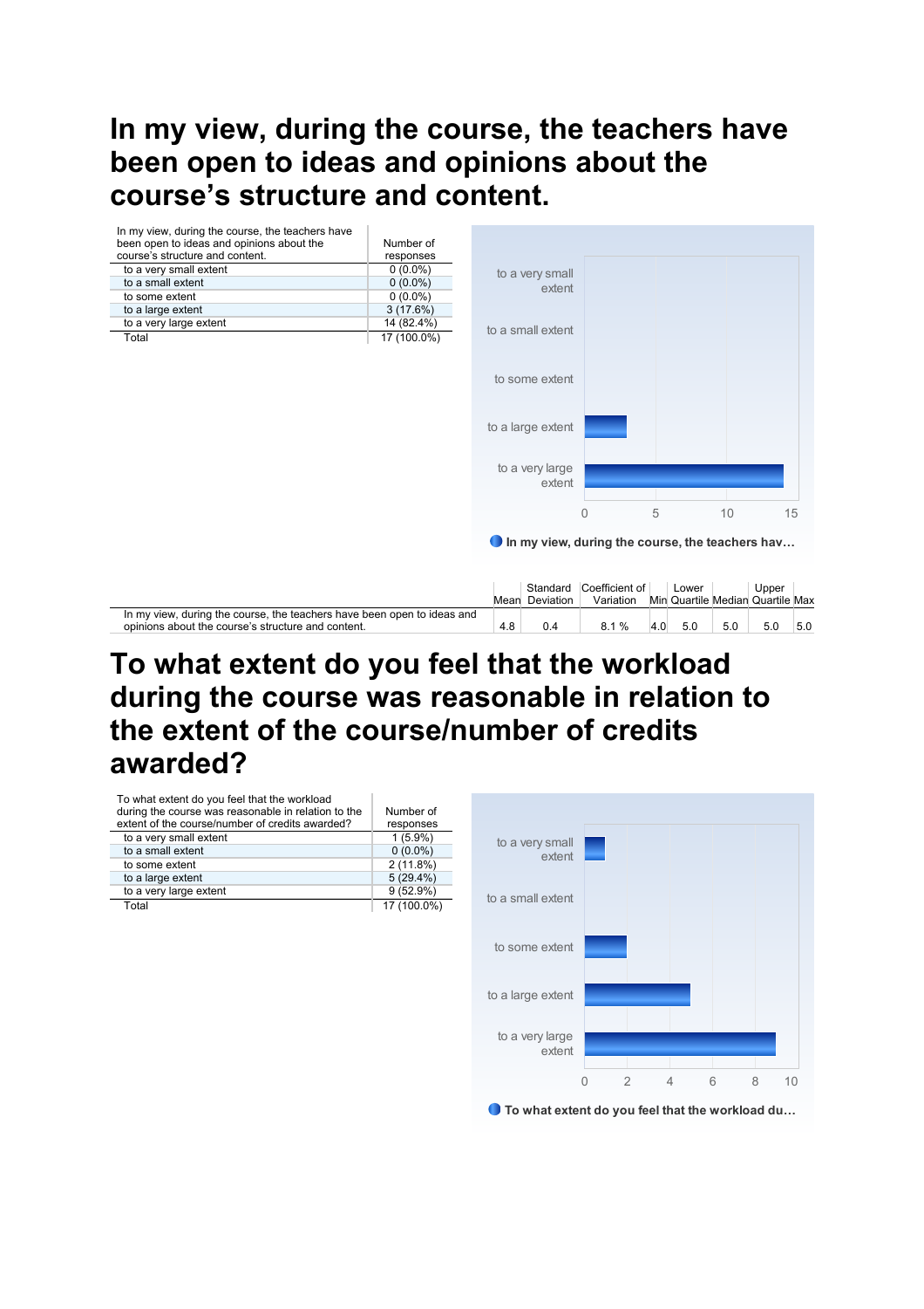### **In my view, during the course, the teachers have been open to ideas and opinions about the course's structure and content.**



## **To what extent do you feel that the workload during the course was reasonable in relation to the extent of the course/number of credits awarded?**

| To what extent do you feel that the workload<br>during the course was reasonable in relation to the<br>extent of the course/number of credits awarded? | Number of<br>responses |
|--------------------------------------------------------------------------------------------------------------------------------------------------------|------------------------|
| to a very small extent                                                                                                                                 | $1(5.9\%)$             |
| to a small extent                                                                                                                                      | $0(0.0\%)$             |
| to some extent                                                                                                                                         | 2(11.8%)               |
| to a large extent                                                                                                                                      | $5(29.4\%)$            |
| to a very large extent                                                                                                                                 | 9(52.9%)               |
| Total                                                                                                                                                  | 17 (100.0%)            |



● To what extent do you feel that the workload du...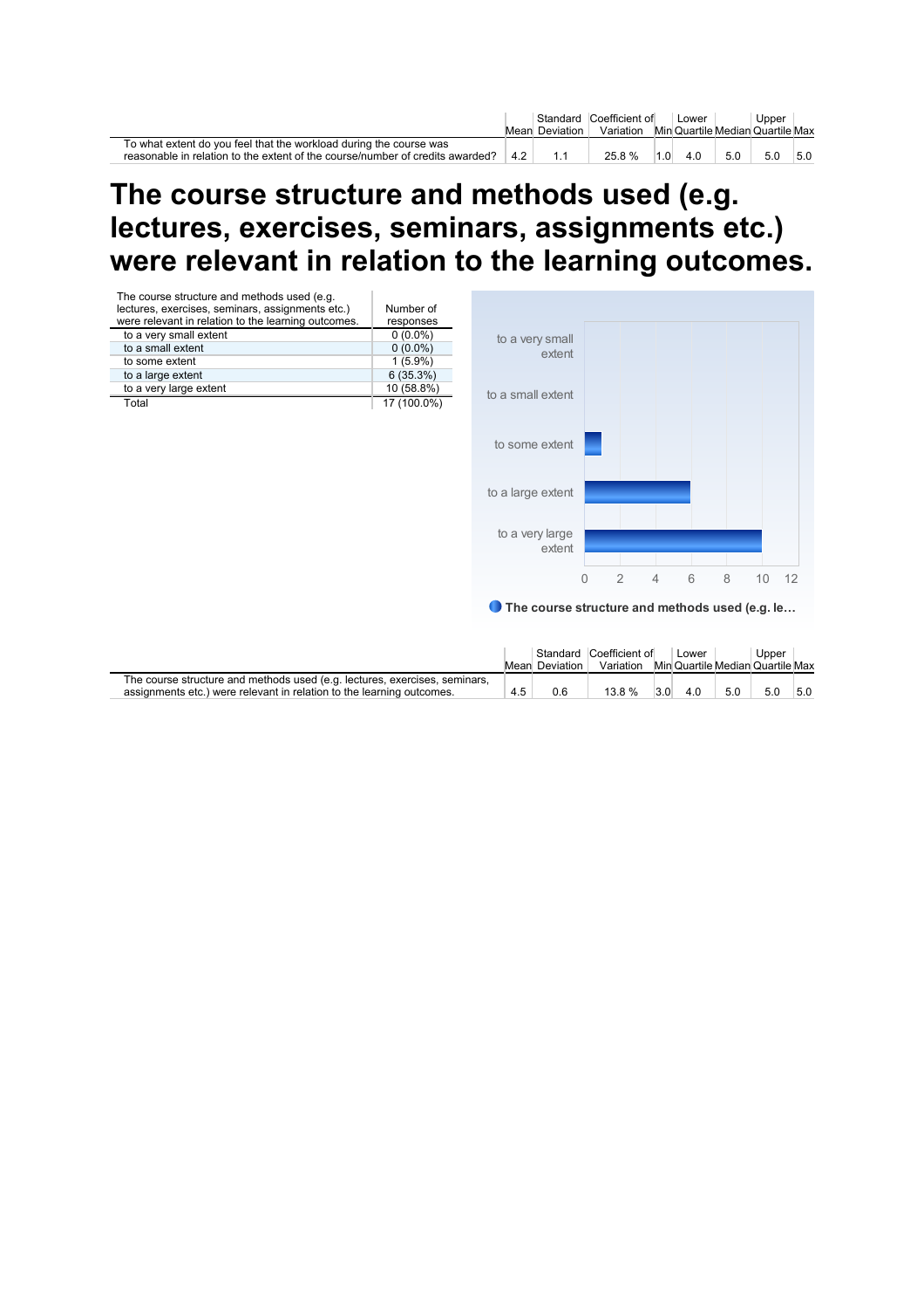|                                                                               |    |                | Standard Coefficient of |     | Lower |     | Upper                            |     |
|-------------------------------------------------------------------------------|----|----------------|-------------------------|-----|-------|-----|----------------------------------|-----|
|                                                                               |    | Mean Deviation | Variation               |     |       |     | Min Quartile Median Quartile Max |     |
| To what extent do you feel that the workload during the course was            |    |                |                         |     |       |     |                                  |     |
| reasonable in relation to the extent of the course/number of credits awarded? | 42 |                | 25.8%                   | 1.0 | 4.0   | 5.0 | 5.0                              | 5.0 |

#### **The course structure and methods used (e.g. lectures, exercises, seminars, assignments etc.) were relevant in relation to the learning outcomes.**



|                                                                            |     | Mean Deviation | Standard Coefficient of<br>Variation |     | Lower |     | Upper<br>Min Quartile Median Quartile Max |     |
|----------------------------------------------------------------------------|-----|----------------|--------------------------------------|-----|-------|-----|-------------------------------------------|-----|
| The course structure and methods used (e.g. lectures, exercises, seminars, |     |                |                                      |     |       |     |                                           |     |
| assignments etc.) were relevant in relation to the learning outcomes.      | 4.5 | 0.6            | 13.8 %                               | 3.0 | 4.0   | 5.0 | 5.0                                       | 5.0 |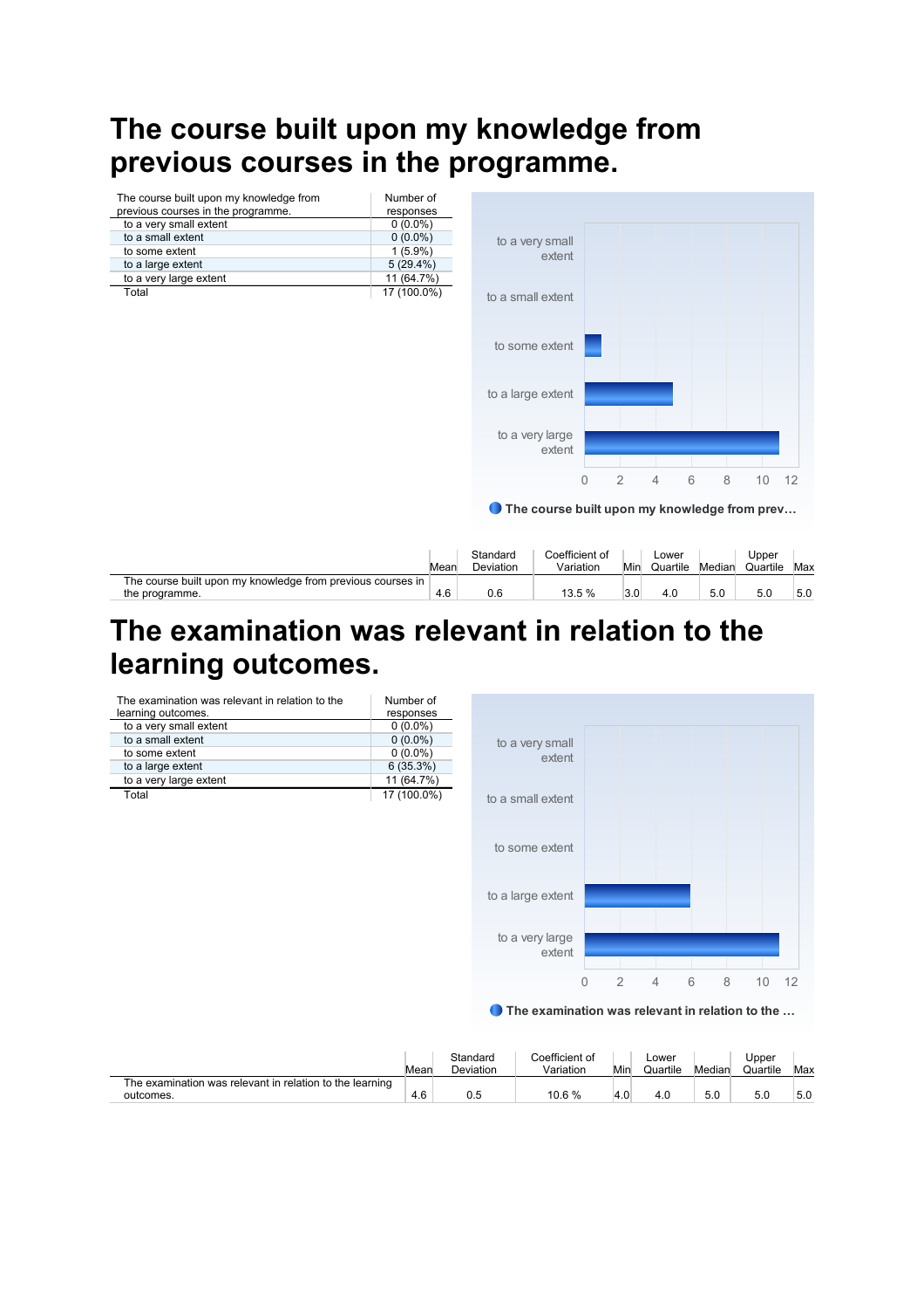# **The course built upon my knowledge from previous courses in the programme.**



|                                                             |      | Standard         | ∩oefficient of |     | ∟ower    |        | Jpper    |     |
|-------------------------------------------------------------|------|------------------|----------------|-----|----------|--------|----------|-----|
|                                                             | Mear | <b>Deviation</b> | Variation      | Mir | Quartile | Median | Quartile | Max |
| The course built upon my knowledge from previous courses in |      |                  |                |     |          |        |          |     |
| the programme.                                              | 4.6  | v.c              | 13.5 %         | 3.0 |          | 5.0    | J.U      | 5.0 |

# **The examination was relevant in relation to the learning outcomes.**

| The examination was relevant in relation to the | Number of   |
|-------------------------------------------------|-------------|
| learning outcomes.                              | responses   |
| to a very small extent                          | $0(0.0\%)$  |
| to a small extent                               | $0(0.0\%)$  |
| to some extent                                  | $0(0.0\%)$  |
| to a large extent                               | 6(35.3%)    |
| to a very large extent                          | 11 (64.7%)  |
| Total                                           | 17 (100.0%) |



**O** The examination was relevant in relation to the ...

|                                                                       | Mear | Standard<br>Deviation | Coefficient of<br>Variation | Min | Lower<br>Quartile | Median | Upper<br>Quartile | Max |
|-----------------------------------------------------------------------|------|-----------------------|-----------------------------|-----|-------------------|--------|-------------------|-----|
| The examination was relevant in relation to the learning<br>outcomes. | 4.6  |                       | 10.6 %                      |     | 4.U               | 5.0    | 5.0               | 5.0 |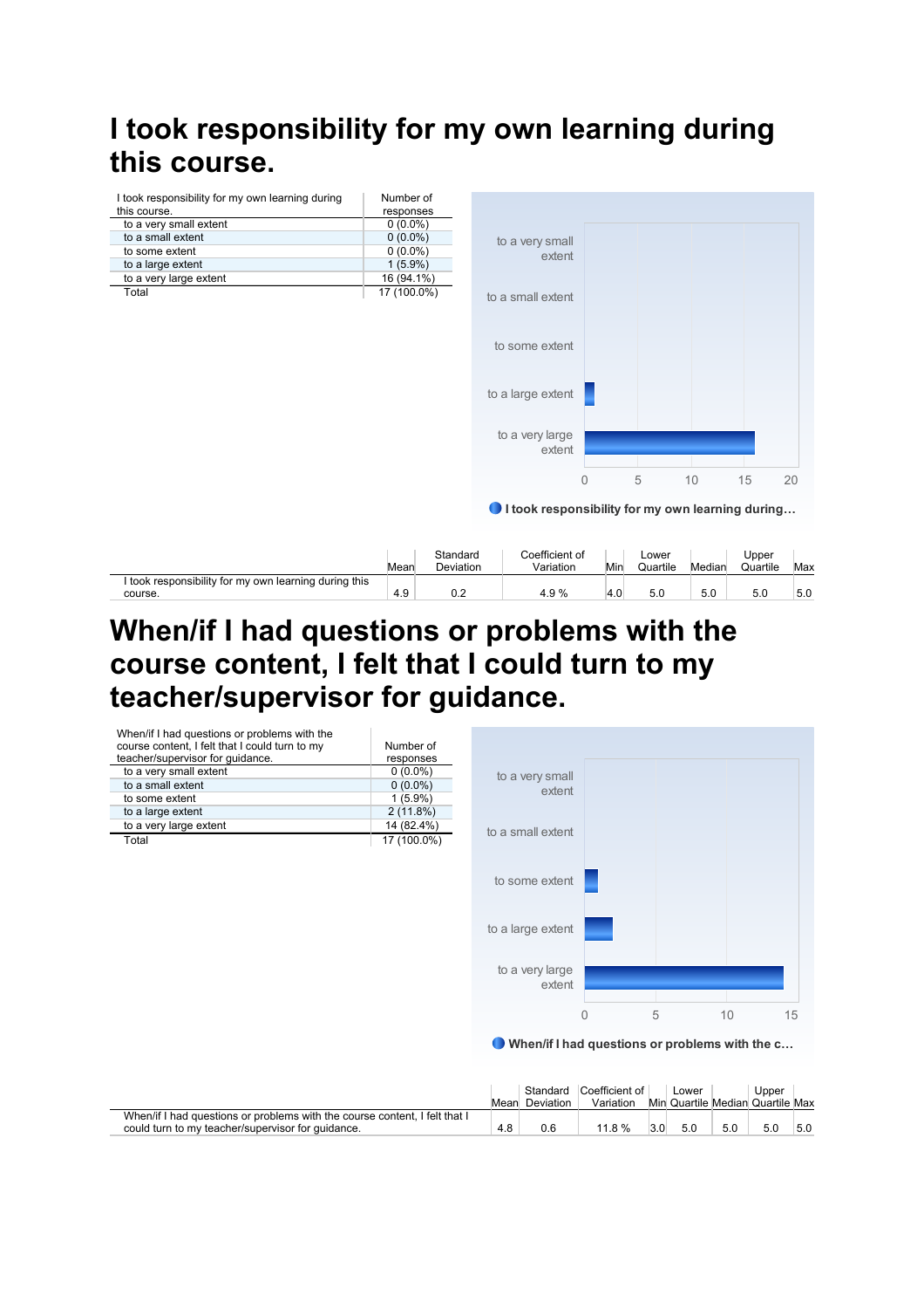# **I took responsibility for my own learning during this course.**

|                                                       |      |                       | to some extent                                   |     |                   |        |                   |     |
|-------------------------------------------------------|------|-----------------------|--------------------------------------------------|-----|-------------------|--------|-------------------|-----|
|                                                       |      |                       |                                                  |     |                   |        |                   |     |
|                                                       |      |                       | to a large extent                                |     |                   |        |                   |     |
|                                                       |      |                       |                                                  |     |                   |        |                   |     |
|                                                       |      |                       | to a very large<br>extent                        |     |                   |        |                   |     |
|                                                       |      |                       | 0                                                |     | 5                 | 10     | 15                | 20  |
|                                                       |      |                       | I took responsibility for my own learning during |     |                   |        |                   |     |
|                                                       |      |                       |                                                  |     |                   |        |                   |     |
| I took responsibility for my own learning during this | Mean | Standard<br>Deviation | Coefficient of<br>Variation                      | Min | Lower<br>Quartile | Median | Upper<br>Quartile | Max |

#### **When/if I had questions or problems with the course content, I felt that I could turn to my teacher/supervisor for guidance.**



Mean Deviation Standard Coefficient of Variation Min Quartile Median Quartile Max Lower Upper When/if I had questions or problems with the course content, I felt that I could turn to my teacher/supervisor for guidance. 4.8 0.6 11.8 % 3.0 5.0 5.0 5.0 5.0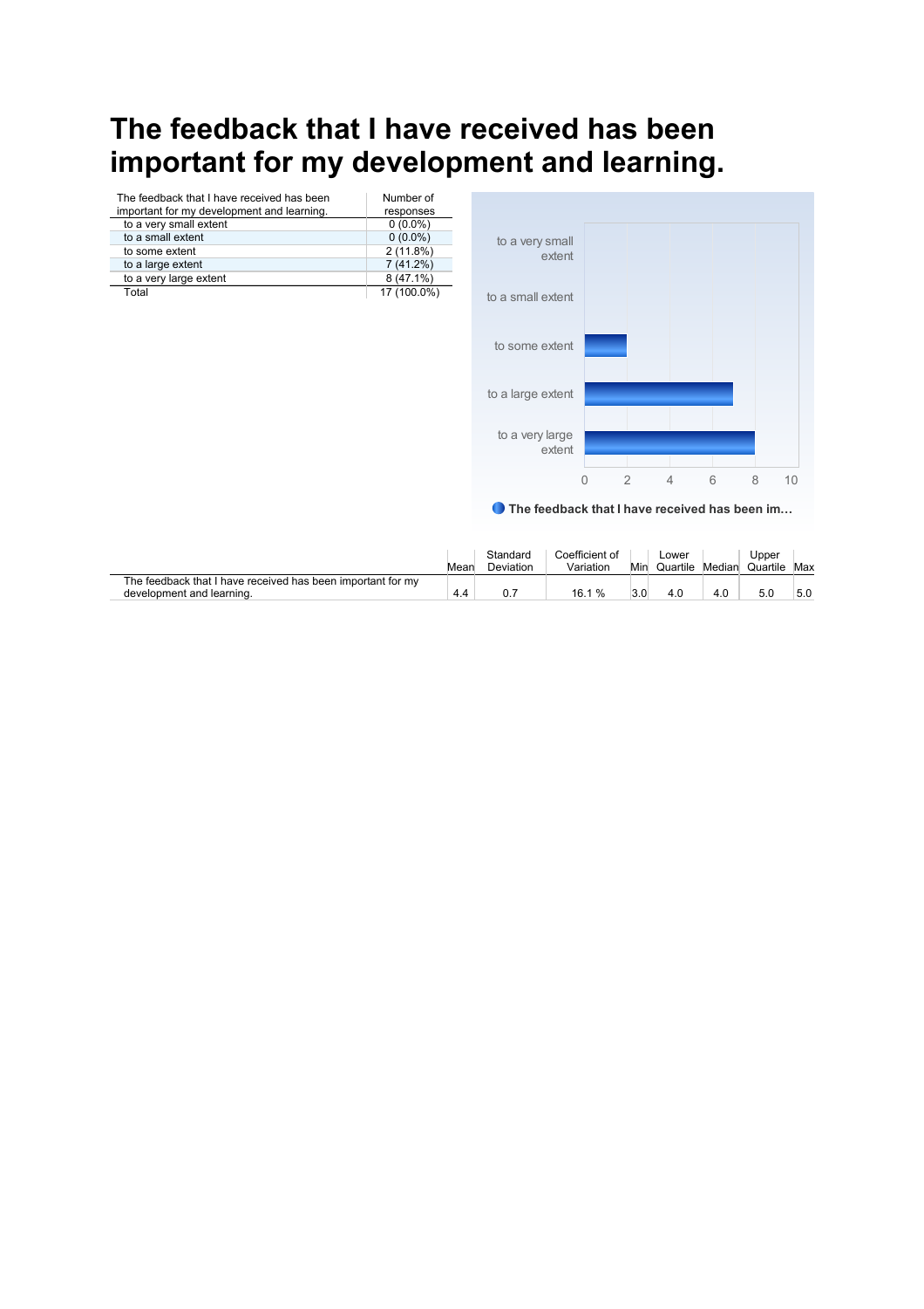# **The feedback that I have received has been important for my development and learning.**

| The feedback that I have received has been | Number of   |                                               |                |                |                |   |   |    |
|--------------------------------------------|-------------|-----------------------------------------------|----------------|----------------|----------------|---|---|----|
| important for my development and learning. | responses   |                                               |                |                |                |   |   |    |
| to a very small extent                     | $0(0.0\%)$  |                                               |                |                |                |   |   |    |
| to a small extent                          | $0(0.0\%)$  | to a very small                               |                |                |                |   |   |    |
| to some extent                             | 2(11.8%)    | extent                                        |                |                |                |   |   |    |
| to a large extent                          | 7(41.2%)    |                                               |                |                |                |   |   |    |
| to a very large extent                     | 8 (47.1%)   |                                               |                |                |                |   |   |    |
| Total                                      | 17 (100.0%) | to a small extent                             |                |                |                |   |   |    |
|                                            |             | to some extent                                |                |                |                |   |   |    |
|                                            |             | to a large extent                             |                |                |                |   |   |    |
|                                            |             | to a very large<br>extent                     |                |                |                |   |   |    |
|                                            |             |                                               | $\overline{0}$ | $\overline{2}$ | $\overline{4}$ | 6 | 8 | 10 |
|                                            |             | The feedback that I have received has been im |                |                |                |   |   |    |

|                                                             |      | Standard  | Coefficient of |     | _ower    |        | Jpper    |     |
|-------------------------------------------------------------|------|-----------|----------------|-----|----------|--------|----------|-----|
|                                                             | Mear | Deviation | Variation      | Min | Quartile | Median | Quartile | Max |
| The feedback that I have received has been important for my |      |           |                |     |          |        |          |     |
| development and learning.                                   | 4.4  |           | 16.1 %         | J.U | 4.0      |        |          | 5.0 |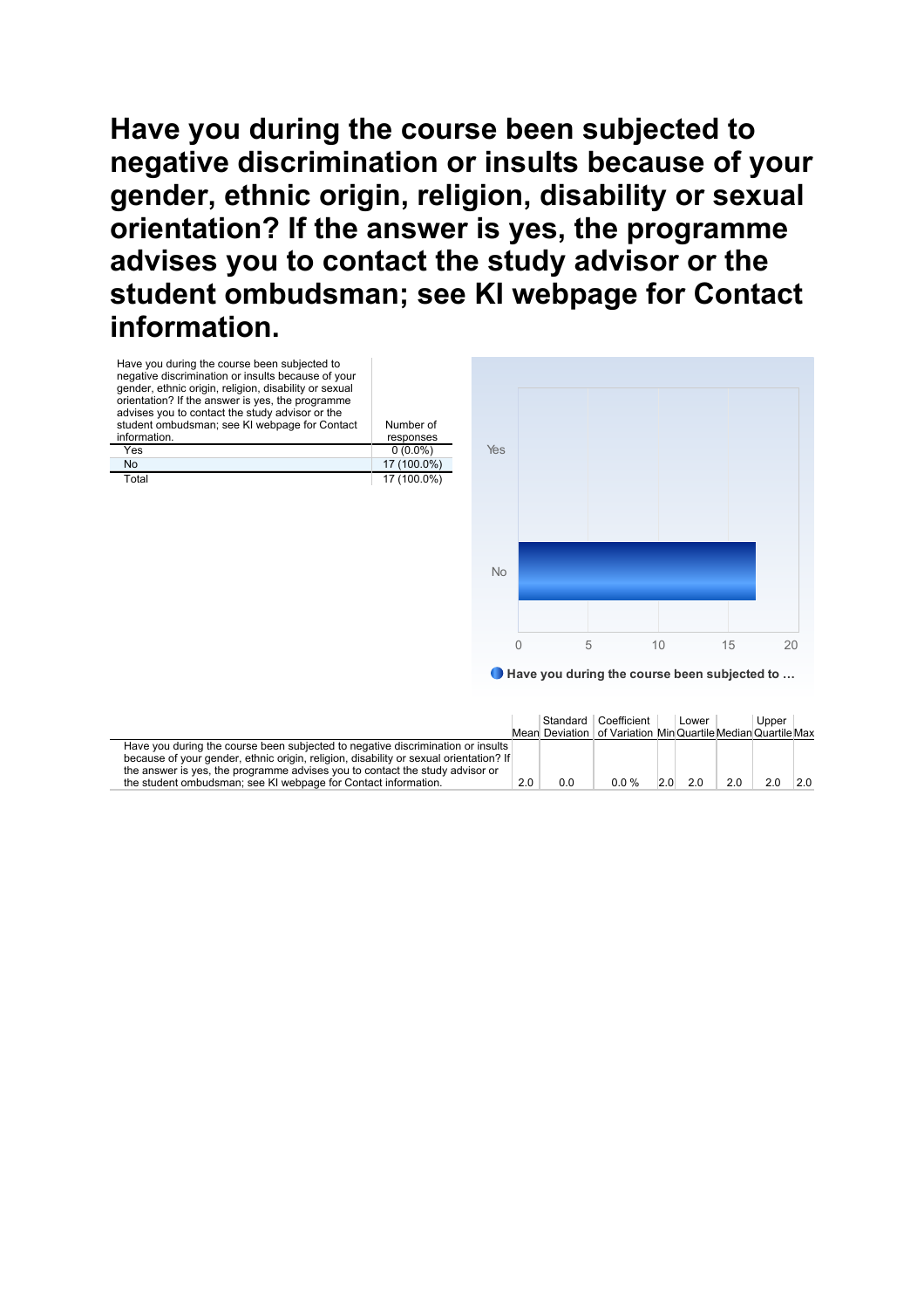**Have you during the course been subjected to negative discrimination or insults because of your gender, ethnic origin, religion, disability or sexual orientation? If the answer is yes, the programme advises you to contact the study advisor or the student ombudsman; see KI webpage for Contact information.** 



● Have you during the course been subjected to ...

|                                                                                       |     |     | Standard Coefficient<br>Mean Deviation   of Variation MinQuartile MedianQuartile Max | Lower |    | Upper |    |
|---------------------------------------------------------------------------------------|-----|-----|--------------------------------------------------------------------------------------|-------|----|-------|----|
| Have you during the course been subjected to negative discrimination or insults       |     |     |                                                                                      |       |    |       |    |
| because of your gender, ethnic origin, religion, disability or sexual orientation? If |     |     |                                                                                      |       |    |       |    |
| the answer is yes, the programme advises you to contact the study advisor or          |     |     |                                                                                      |       |    |       |    |
| the student ombudsman; see KI webpage for Contact information.                        | 2.0 | 0.0 | 00%                                                                                  | 20    | 20 | 20    | 20 |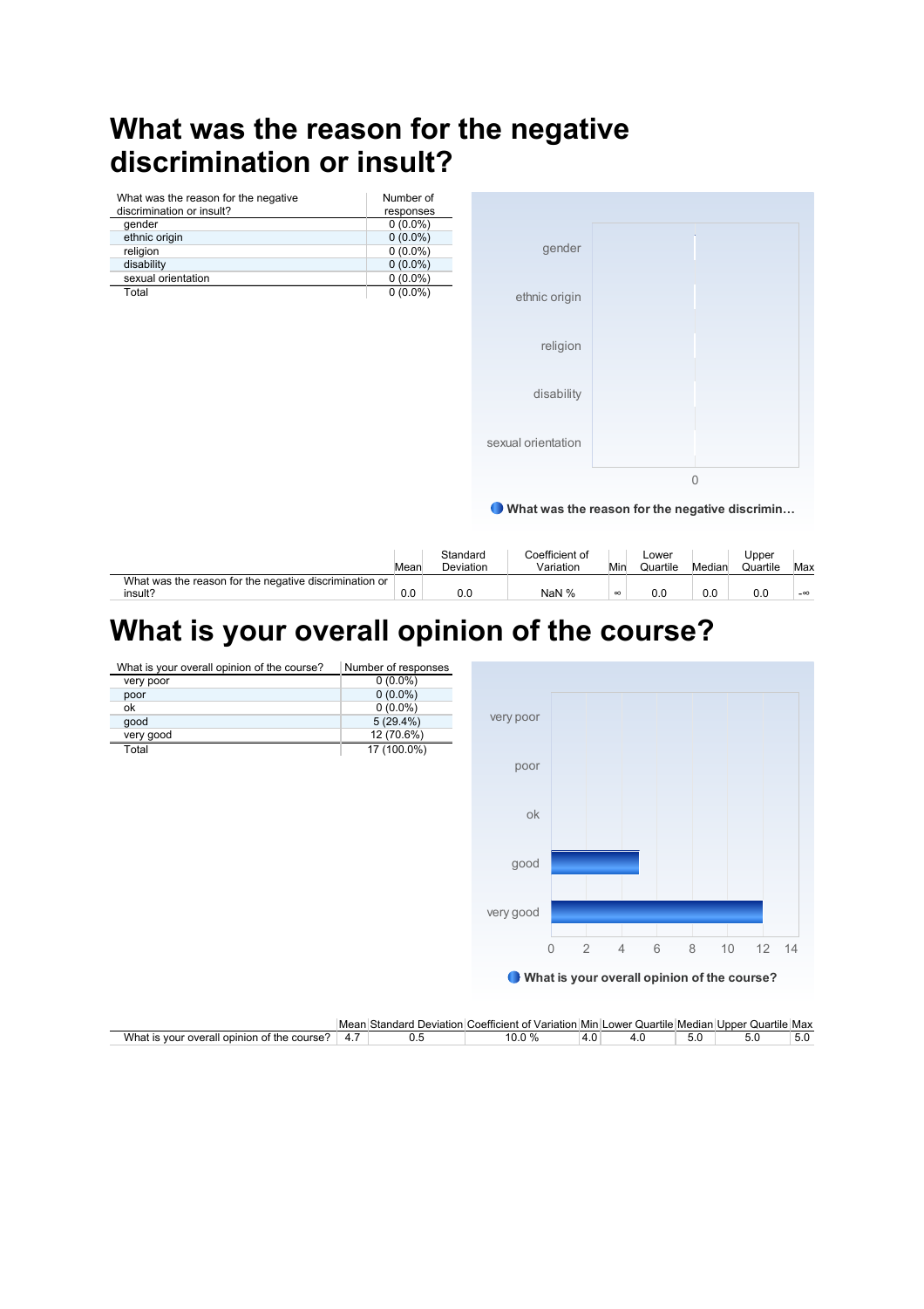# **What was the reason for the negative discrimination or insult?**

| What was the reason for the negative | Number of  |
|--------------------------------------|------------|
| discrimination or insult?            | responses  |
| gender                               | $0(0.0\%)$ |
| ethnic origin                        | $0(0.0\%)$ |
| religion                             | $0(0.0\%)$ |
| disability                           | $0(0.0\%)$ |
| sexual orientation                   | $0(0.0\%)$ |
| Total                                | $0(0.0\%)$ |
|                                      |            |
|                                      |            |



What was the reason for the negative discrimin…

|                                                        | Mear | Standard<br>Deviation | Coefficient of<br>Variation | Min      | ∟ower<br>Quartile | Median | Upper<br>Quartile | Max       |
|--------------------------------------------------------|------|-----------------------|-----------------------------|----------|-------------------|--------|-------------------|-----------|
| What was the reason for the negative discrimination or |      |                       |                             |          |                   |        |                   |           |
| insult?                                                | 0.0  | 0.0                   | NaN %                       | $\infty$ | 0.0               | 0.0    | 0.0               | $-\infty$ |

# **What is your overall opinion of the course?**

| What is your overall opinion of the course? | Number of responses |           |              |   |                |   |   |                                               |       |  |
|---------------------------------------------|---------------------|-----------|--------------|---|----------------|---|---|-----------------------------------------------|-------|--|
| very poor                                   | $0(0.0\%)$          |           |              |   |                |   |   |                                               |       |  |
| poor                                        | $0(0.0\%)$          |           |              |   |                |   |   |                                               |       |  |
| ok                                          | $0(0.0\%)$          |           |              |   |                |   |   |                                               |       |  |
| good                                        | 5(29.4%)            | very poor |              |   |                |   |   |                                               |       |  |
| very good                                   | 12 (70.6%)          |           |              |   |                |   |   |                                               |       |  |
| Total                                       | 17 (100.0%)         |           |              |   |                |   |   |                                               |       |  |
|                                             |                     | poor      |              |   |                |   |   |                                               |       |  |
|                                             |                     |           |              |   |                |   |   |                                               |       |  |
|                                             |                     |           |              |   |                |   |   |                                               |       |  |
|                                             |                     | ok        |              |   |                |   |   |                                               |       |  |
|                                             |                     |           |              |   |                |   |   |                                               |       |  |
|                                             |                     |           |              |   |                |   |   |                                               |       |  |
|                                             |                     |           |              |   |                |   |   |                                               |       |  |
|                                             |                     | good      |              |   |                |   |   |                                               |       |  |
|                                             |                     |           |              |   |                |   |   |                                               |       |  |
|                                             |                     |           |              |   |                |   |   |                                               |       |  |
|                                             |                     | very good |              |   |                |   |   |                                               |       |  |
|                                             |                     |           |              |   |                |   |   |                                               |       |  |
|                                             |                     |           |              |   |                |   |   |                                               |       |  |
|                                             |                     |           | $\mathbf{0}$ | 2 | $\overline{4}$ | 6 | 8 | 10                                            | 12 14 |  |
|                                             |                     |           |              |   |                |   |   |                                               |       |  |
|                                             |                     |           |              |   |                |   |   | ● What is your overall opinion of the course? |       |  |
|                                             |                     |           |              |   |                |   |   |                                               |       |  |
|                                             |                     |           |              |   |                |   |   |                                               |       |  |

|                                                                    | Mean | . Standard<br>Deviation | ، Variation Min !<br>:netticient<br>. റ† | .                 | $-$<br>Lower Quartile Median I |     | Quartile Max<br>Unner |     |
|--------------------------------------------------------------------|------|-------------------------|------------------------------------------|-------------------|--------------------------------|-----|-----------------------|-----|
| What<br>course <sup>®</sup><br>r overall opinior<br>VOUL<br>ot the | 4    | v.J                     | ົາ %                                     | $\sqrt{ }$<br>T.U | $\cdots$                       | J.J | J.U                   | 5.U |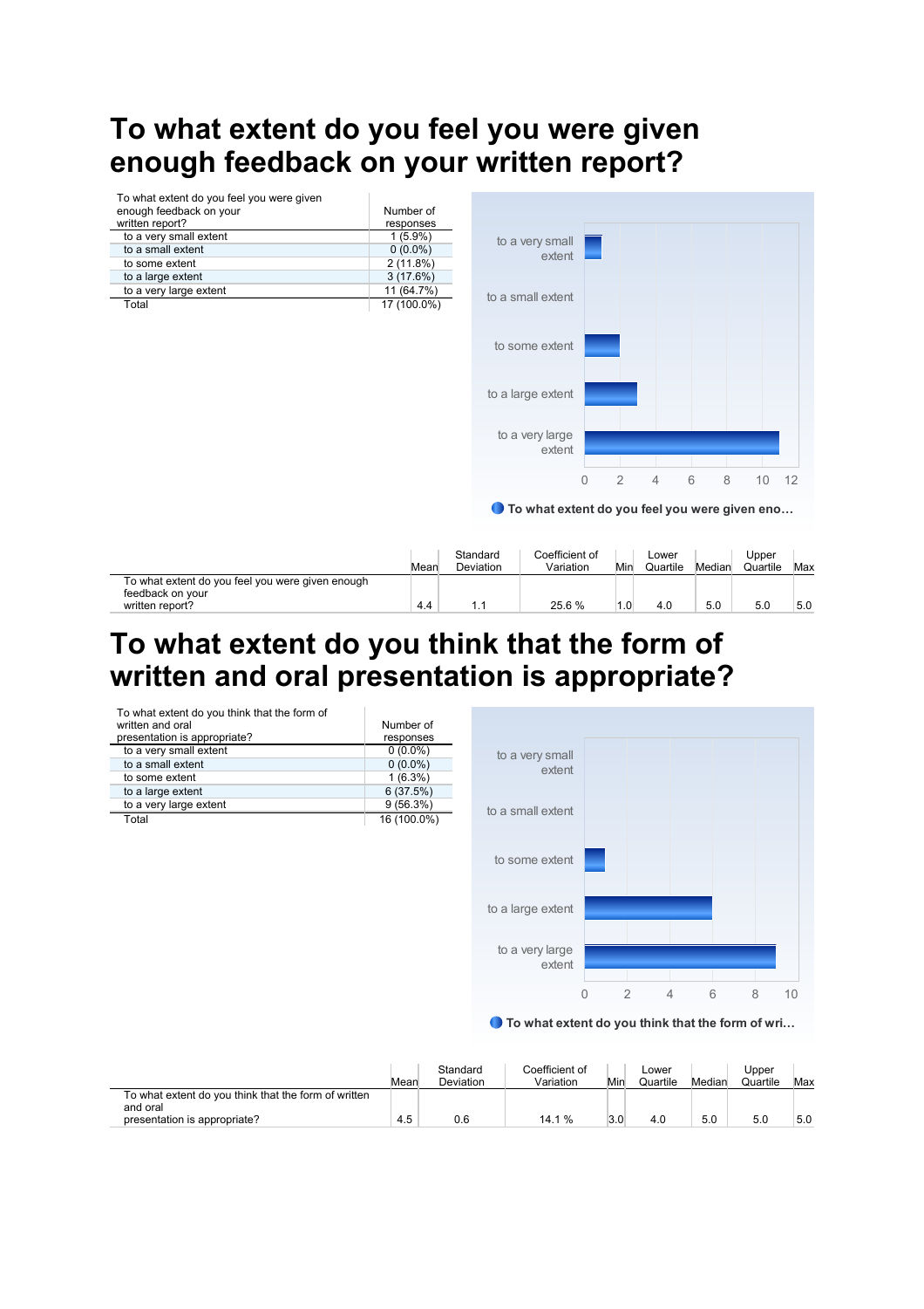# **To what extent do you feel you were given enough feedback on your written report?**



#### **To what extent do you think that the form of**  written and oral presentation is appropriate?

| To what extent do you think that the form of<br>written and oral<br>presentation is appropriate? | Number of<br>responses |                   |  |
|--------------------------------------------------------------------------------------------------|------------------------|-------------------|--|
| to a very small extent                                                                           | $0(0.0\%)$             |                   |  |
| to a small extent                                                                                | $0(0.0\%)$             | to a very small   |  |
| to some extent                                                                                   | $1(6.3\%)$             | extent            |  |
| to a large extent                                                                                | 6(37.5%)               |                   |  |
| to a very large extent                                                                           | 9(56.3%)               | to a small extent |  |
| Total                                                                                            | 16 (100.0%)            |                   |  |
|                                                                                                  |                        | to some extent    |  |
|                                                                                                  |                        | to a large extent |  |

● To what extent do you think that the form of wri...

0 2 4 6 8 10

|                                                                                                  | Mear | Standard<br>Deviation | Coefficient of<br>Variation | Min | Lower<br>Quartile | Median | Upper<br>Quartile | Max |
|--------------------------------------------------------------------------------------------------|------|-----------------------|-----------------------------|-----|-------------------|--------|-------------------|-----|
| To what extent do you think that the form of written<br>and oral<br>presentation is appropriate? | 4.5  | 0.6                   | 14.1%                       | 3.0 | 4.0               | 5.0    | 5.0               | 5.0 |

to a very large extent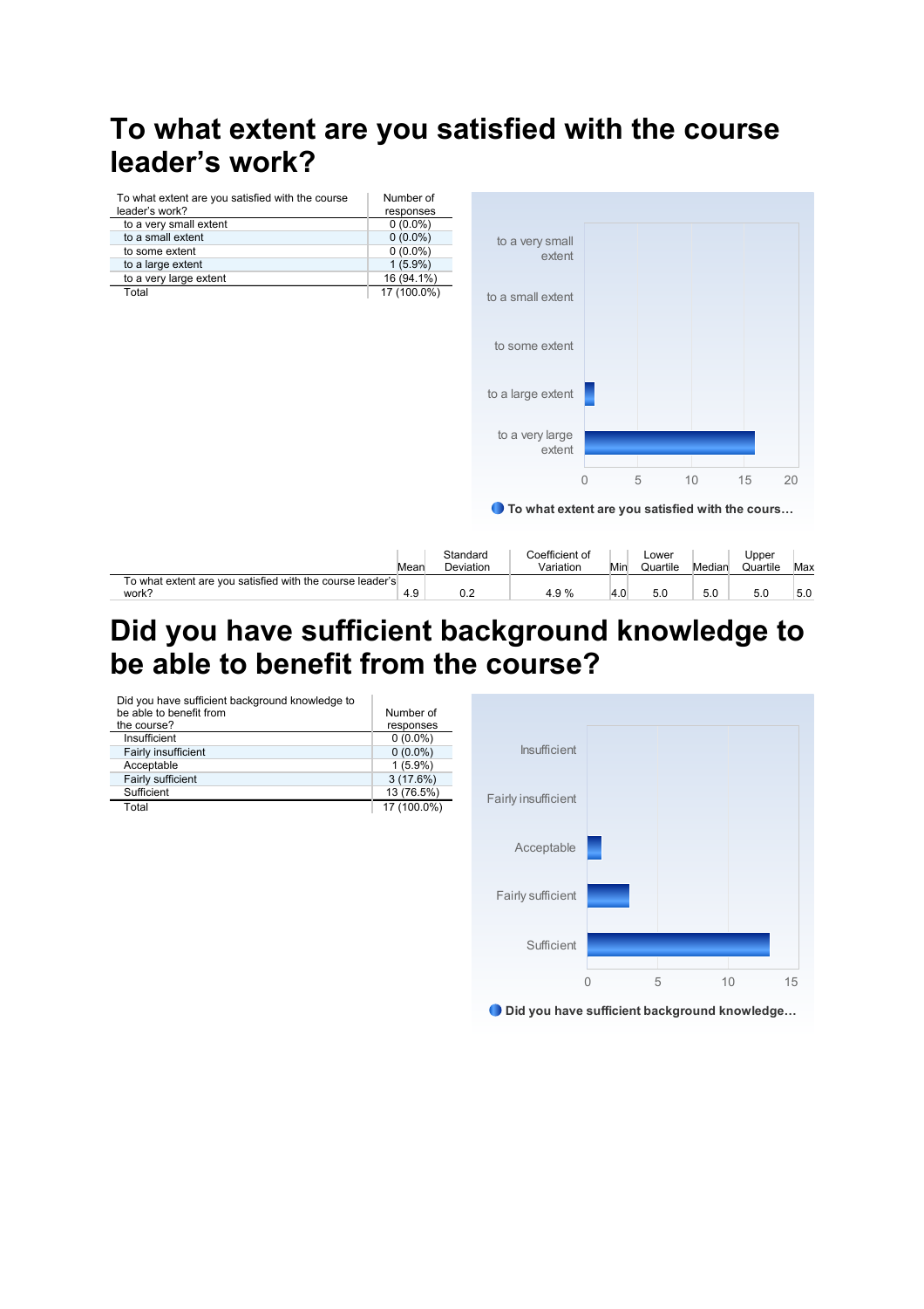# **To what extent are you satisfied with the course**  leader's work?

| To what extent are you satisfied with the course leader's<br>work? | 4.9                       | 0.2                   | 4.9%                                              | 4.0      | 5.0               | 5.0    | 5.0               | 5.0 |
|--------------------------------------------------------------------|---------------------------|-----------------------|---------------------------------------------------|----------|-------------------|--------|-------------------|-----|
|                                                                    | Mean                      | Standard<br>Deviation | Coefficient of<br>Variation                       | Min      | Lower<br>Quartile | Median | Upper<br>Quartile | Max |
|                                                                    |                           |                       | ● To what extent are you satisfied with the cours | $\theta$ | 5                 | 10     | 15                | 20  |
|                                                                    |                           |                       | to a very large<br>extent                         |          |                   |        |                   |     |
|                                                                    |                           |                       | to a large extent                                 |          |                   |        |                   |     |
|                                                                    |                           |                       | to some extent                                    |          |                   |        |                   |     |
| to a very large extent<br>Total                                    | 16 (94.1%)<br>17 (100.0%) |                       | to a small extent                                 |          |                   |        |                   |     |
| to a large extent                                                  | $0(0.0\%)$<br>$1(5.9\%)$  |                       | extent                                            |          |                   |        |                   |     |
| to a small extent<br>to some extent                                | $0(0.0\%)$                |                       | to a very small                                   |          |                   |        |                   |     |
| to a very small extent                                             | $0(0.0\%)$                |                       |                                                   |          |                   |        |                   |     |
| To what extent are you satisfied with the course<br>leader's work? | Number of<br>responses    |                       |                                                   |          |                   |        |                   |     |

### **Did you have sufficient background knowledge to**  be able to benefit from the course?

| Did you have sufficient background knowledge to<br>be able to benefit from | Number of   |                     |  |  |
|----------------------------------------------------------------------------|-------------|---------------------|--|--|
| the course?                                                                | responses   |                     |  |  |
| Insufficient                                                               | $0(0.0\%)$  |                     |  |  |
| Fairly insufficient                                                        | $0(0.0\%)$  | <b>Insufficient</b> |  |  |
| Acceptable                                                                 | $1(5.9\%)$  |                     |  |  |
| Fairly sufficient                                                          | 3(17.6%)    |                     |  |  |
| Sufficient                                                                 | 13 (76.5%)  |                     |  |  |
| Total                                                                      | 17 (100.0%) | Fairly insufficient |  |  |
|                                                                            |             |                     |  |  |
|                                                                            |             |                     |  |  |
|                                                                            |             | Acceptable          |  |  |
|                                                                            |             |                     |  |  |
|                                                                            |             |                     |  |  |
|                                                                            |             |                     |  |  |
|                                                                            |             | Fairly sufficient   |  |  |
|                                                                            |             |                     |  |  |
|                                                                            |             |                     |  |  |

Did you have sufficient background knowledge…

0 5 10 15

Sufficient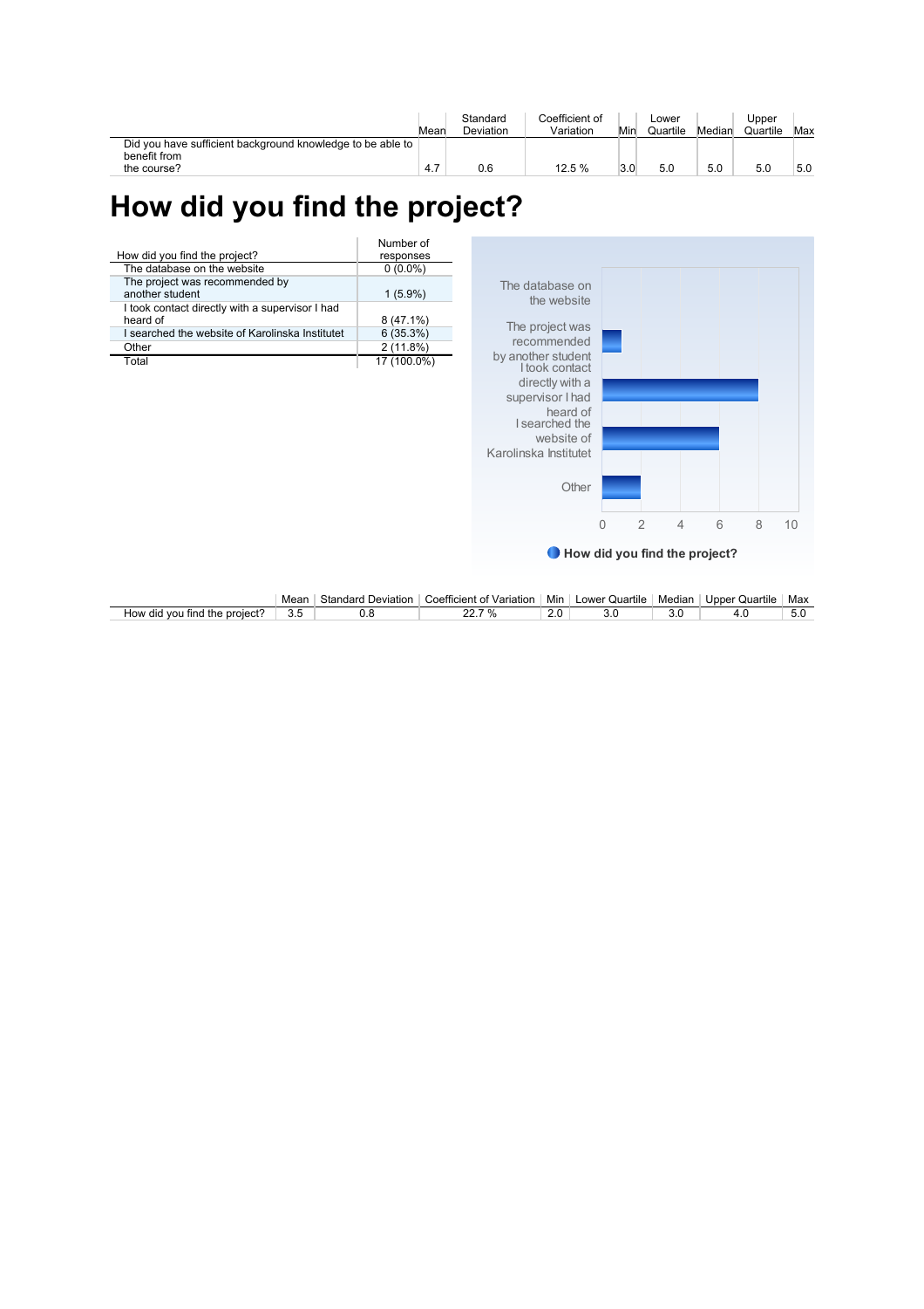|                                                                            | Mear <sup>'</sup> | Standard<br>Deviation | Coefficient of<br>Variation | Min | Lower<br>Quartile | Median | Upper<br>Quartile | Max |
|----------------------------------------------------------------------------|-------------------|-----------------------|-----------------------------|-----|-------------------|--------|-------------------|-----|
| Did you have sufficient background knowledge to be able to<br>benefit from |                   |                       |                             |     |                   |        |                   |     |
| the course?                                                                | 4.7               | 0.6                   | 12.5 %                      |     | 5.0               | 5.0    |                   | 5.0 |

# **How did you find the project?**

|                                                             | Number of   |
|-------------------------------------------------------------|-------------|
| How did you find the project?                               | responses   |
| The database on the website                                 | $0(0.0\%)$  |
| The project was recommended by<br>another student           | $1(5.9\%)$  |
| I took contact directly with a supervisor I had<br>heard of | $8(47.1\%)$ |
| I searched the website of Karolinska Institutet             | 6(35.3%)    |
| Other                                                       | 2(11.8%)    |
| Total                                                       | 17 (100.0%) |



|                                       | Mean | Standard<br>. Deviation | $\overline{\phantom{a}}$<br>. Variation<br>`oetticient .<br>nt | .<br>Mir | nwer (<br><b>Quartile</b> | Median | Jnner<br>Quartile | Max |
|---------------------------------------|------|-------------------------|----------------------------------------------------------------|----------|---------------------------|--------|-------------------|-----|
| project.<br>How did vou<br>่ tind the | ں.ر  |                         |                                                                | <u>.</u> |                           | v.v    |                   | v.v |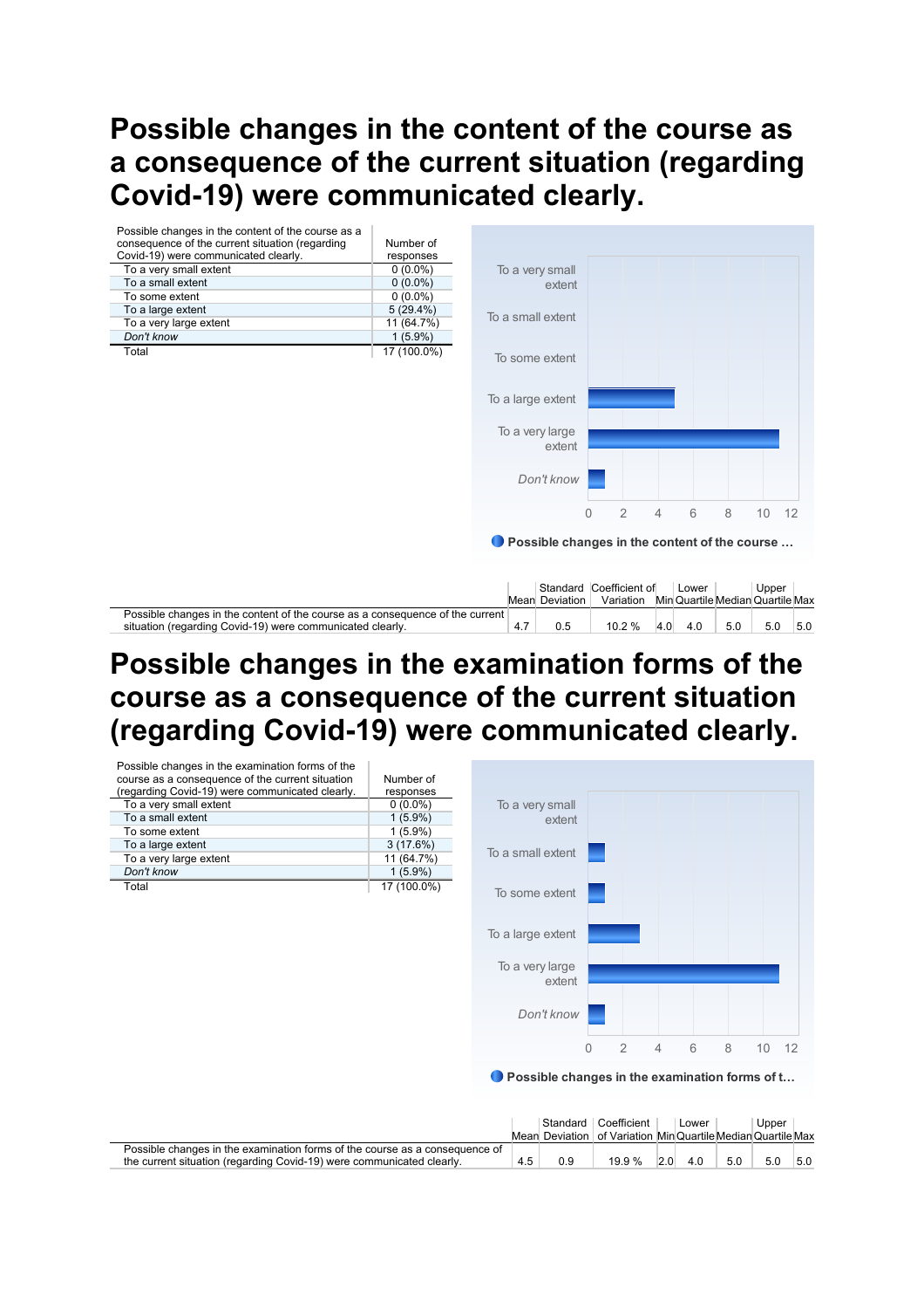### **Possible changes in the content of the course as a consequence of the current situation (regarding Covid-19) were communicated clearly.**

| Possible changes in the content of the course as a                                                                                         |             |                   |                                               |                             |     |       |     |       |                                  |
|--------------------------------------------------------------------------------------------------------------------------------------------|-------------|-------------------|-----------------------------------------------|-----------------------------|-----|-------|-----|-------|----------------------------------|
| consequence of the current situation (regarding                                                                                            | Number of   |                   |                                               |                             |     |       |     |       |                                  |
| Covid-19) were communicated clearly.                                                                                                       | responses   |                   |                                               |                             |     |       |     |       |                                  |
| To a very small extent                                                                                                                     | $0(0.0\%)$  | To a very small   |                                               |                             |     |       |     |       |                                  |
| To a small extent                                                                                                                          | $0(0.0\%)$  |                   | extent                                        |                             |     |       |     |       |                                  |
| To some extent                                                                                                                             | $0(0.0\%)$  |                   |                                               |                             |     |       |     |       |                                  |
| To a large extent                                                                                                                          | 5(29.4%)    | To a small extent |                                               |                             |     |       |     |       |                                  |
| To a very large extent                                                                                                                     | 11 (64.7%)  |                   |                                               |                             |     |       |     |       |                                  |
| Don't know                                                                                                                                 | $1(5.9\%)$  |                   |                                               |                             |     |       |     |       |                                  |
| Total                                                                                                                                      | 17 (100.0%) | To some extent    |                                               |                             |     |       |     |       |                                  |
|                                                                                                                                            |             | To a large extent |                                               |                             |     |       |     |       |                                  |
|                                                                                                                                            |             |                   | To a very large<br>extent                     |                             |     |       |     |       |                                  |
|                                                                                                                                            |             |                   | Don't know                                    |                             |     |       |     |       |                                  |
|                                                                                                                                            |             |                   | $\Omega$                                      | $\overline{2}$              | 4   | 6     | 8   | 10    | 12                               |
|                                                                                                                                            |             |                   | Possible changes in the content of the course |                             |     |       |     |       |                                  |
|                                                                                                                                            |             |                   | Standard<br><b>Mean Deviation</b>             | Coefficient of<br>Variation |     | Lower |     | Upper | Min Quartile Median Quartile Max |
| Possible changes in the content of the course as a consequence of the current<br>situation (regarding Covid-19) were communicated clearly. |             | 4.7               | 0.5                                           | 10.2%                       | 4.0 | 4.0   | 5.0 | 5.0   | 5.0                              |

#### **Possible changes in the examination forms of the course as a consequence of the current situation (regarding Covid-19) were communicated clearly.**

| Possible changes in the examination forms of the |             |                                                |   |                |                |   |   |    |      |
|--------------------------------------------------|-------------|------------------------------------------------|---|----------------|----------------|---|---|----|------|
| course as a consequence of the current situation | Number of   |                                                |   |                |                |   |   |    |      |
| (regarding Covid-19) were communicated clearly.  | responses   |                                                |   |                |                |   |   |    |      |
| To a very small extent                           | $0(0.0\%)$  | To a very small                                |   |                |                |   |   |    |      |
| To a small extent                                | $1(5.9\%)$  | extent                                         |   |                |                |   |   |    |      |
| To some extent                                   | $1(5.9\%)$  |                                                |   |                |                |   |   |    |      |
| To a large extent                                | 3(17.6%)    | To a small extent                              |   |                |                |   |   |    |      |
| To a very large extent                           | 11 (64.7%)  |                                                |   |                |                |   |   |    |      |
| Don't know                                       | $1(5.9\%)$  |                                                |   |                |                |   |   |    |      |
| Total                                            | 17 (100.0%) | To some extent                                 |   |                |                |   |   |    |      |
|                                                  |             |                                                |   |                |                |   |   |    |      |
|                                                  |             |                                                |   |                |                |   |   |    |      |
|                                                  |             | To a large extent                              |   |                |                |   |   |    |      |
|                                                  |             |                                                |   |                |                |   |   |    |      |
|                                                  |             | To a very large                                |   |                |                |   |   |    |      |
|                                                  |             | extent                                         |   |                |                |   |   |    |      |
|                                                  |             |                                                |   |                |                |   |   |    |      |
|                                                  |             | Don't know                                     |   |                |                |   |   |    |      |
|                                                  |             |                                                |   |                |                |   |   |    |      |
|                                                  |             |                                                | 0 | $\overline{2}$ | $\overline{4}$ | 6 | 8 | 10 | - 12 |
|                                                  |             |                                                |   |                |                |   |   |    |      |
|                                                  |             |                                                |   |                |                |   |   |    |      |
|                                                  |             | Possible changes in the examination forms of t |   |                |                |   |   |    |      |

|                                                                             |     |     | Standard Coefficient                                       |     | Lower |     | Upper |     |
|-----------------------------------------------------------------------------|-----|-----|------------------------------------------------------------|-----|-------|-----|-------|-----|
|                                                                             |     |     | Mean Deviation   of Variation MinQuartileMedianQuartileMax |     |       |     |       |     |
| Possible changes in the examination forms of the course as a consequence of |     |     |                                                            |     |       |     |       |     |
| the current situation (regarding Covid-19) were communicated clearly.       | 4.5 | 0.9 | 19.9%                                                      | 2.0 | 4.0   | 5.0 | 5.0   | 5.0 |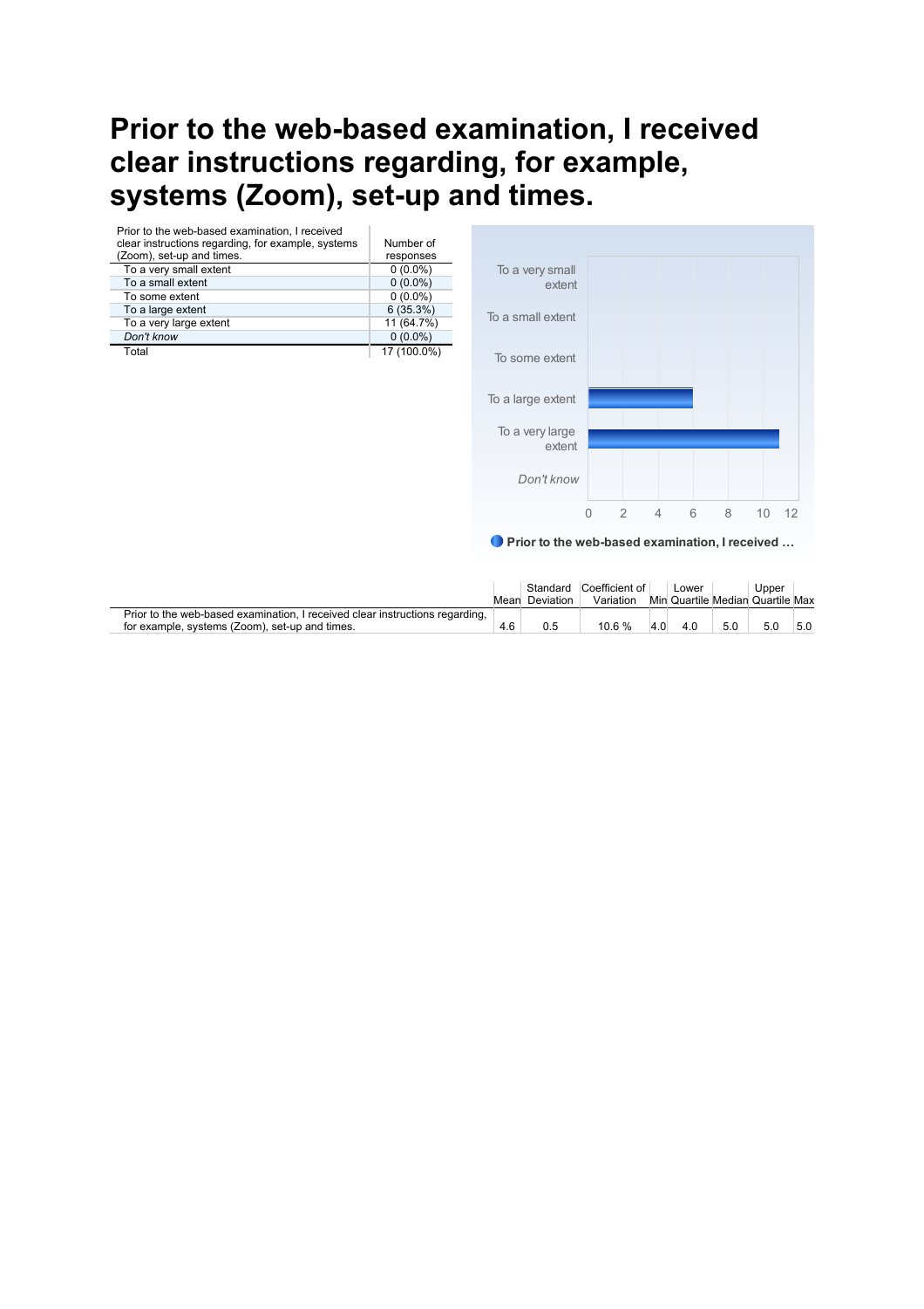# **Prior to the web-based examination, I received clear instructions regarding, for example, systems (Zoom), set-up and times.**

| Prior to the web-based examination. I received<br>clear instructions regarding, for example, systems | Number of   |
|------------------------------------------------------------------------------------------------------|-------------|
| (Zoom), set-up and times.                                                                            | responses   |
| To a very small extent                                                                               | $0(0.0\%)$  |
| To a small extent                                                                                    | $0(0.0\%)$  |
| To some extent                                                                                       | $0(0.0\%)$  |
| To a large extent                                                                                    | 6(35.3%)    |
| To a very large extent                                                                               | 11 (64.7%)  |
| Don't know                                                                                           | $0(0.0\%)$  |
| Total                                                                                                | 17 (100.0%) |



● Prior to the web-based examination, I received ...

|                                                                              |     | Standard       | Coefficient of |     | Lower |     | Upper                            |     |
|------------------------------------------------------------------------------|-----|----------------|----------------|-----|-------|-----|----------------------------------|-----|
|                                                                              |     | Mean Deviation | Variation      |     |       |     | Min Quartile Median Quartile Max |     |
| Prior to the web-based examination, I received clear instructions regarding, |     |                |                |     |       |     |                                  |     |
| for example, systems (Zoom), set-up and times.                               | 4.6 |                | 10.6 %         | 4.0 | 4.0   | 5.0 | 5.0                              | 5.0 |